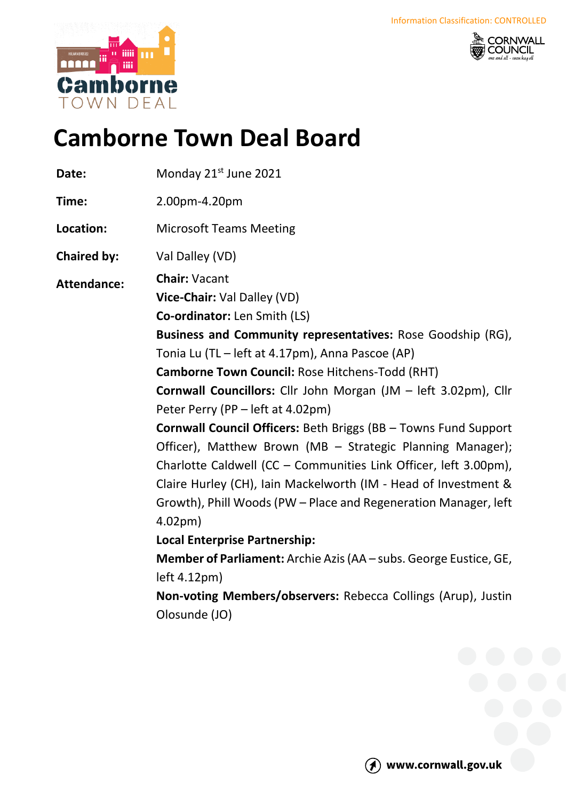



# **Camborne Town Deal Board**

| 2.00pm-4.20pm<br>Time:<br>Location:<br><b>Microsoft Teams Meeting</b><br>Val Dalley (VD)<br><b>Chaired by:</b>                                                                                                                                                                                                                                                                                                                                                                                                                                                                                                                                                                                                                                                                                                                                                                                                                                                                                          |  |
|---------------------------------------------------------------------------------------------------------------------------------------------------------------------------------------------------------------------------------------------------------------------------------------------------------------------------------------------------------------------------------------------------------------------------------------------------------------------------------------------------------------------------------------------------------------------------------------------------------------------------------------------------------------------------------------------------------------------------------------------------------------------------------------------------------------------------------------------------------------------------------------------------------------------------------------------------------------------------------------------------------|--|
|                                                                                                                                                                                                                                                                                                                                                                                                                                                                                                                                                                                                                                                                                                                                                                                                                                                                                                                                                                                                         |  |
|                                                                                                                                                                                                                                                                                                                                                                                                                                                                                                                                                                                                                                                                                                                                                                                                                                                                                                                                                                                                         |  |
|                                                                                                                                                                                                                                                                                                                                                                                                                                                                                                                                                                                                                                                                                                                                                                                                                                                                                                                                                                                                         |  |
| <b>Chair: Vacant</b><br><b>Attendance:</b><br>Vice-Chair: Val Dalley (VD)<br><b>Co-ordinator:</b> Len Smith (LS)<br>Business and Community representatives: Rose Goodship (RG),<br>Tonia Lu (TL - left at 4.17pm), Anna Pascoe (AP)<br>Camborne Town Council: Rose Hitchens-Todd (RHT)<br><b>Cornwall Councillors:</b> Cllr John Morgan (JM – left 3.02pm), Cllr<br>Peter Perry (PP - left at 4.02pm)<br>Cornwall Council Officers: Beth Briggs (BB - Towns Fund Support<br>Officer), Matthew Brown (MB - Strategic Planning Manager);<br>Charlotte Caldwell (CC - Communities Link Officer, left 3.00pm),<br>Claire Hurley (CH), Iain Mackelworth (IM - Head of Investment &<br>Growth), Phill Woods (PW - Place and Regeneration Manager, left<br>4.02 <sub>pm</sub><br><b>Local Enterprise Partnership:</b><br><b>Member of Parliament:</b> Archie Azis (AA – subs. George Eustice, GE,<br>left 4.12 <sub>pm</sub><br>Non-voting Members/observers: Rebecca Collings (Arup), Justin<br>Olosunde (JO) |  |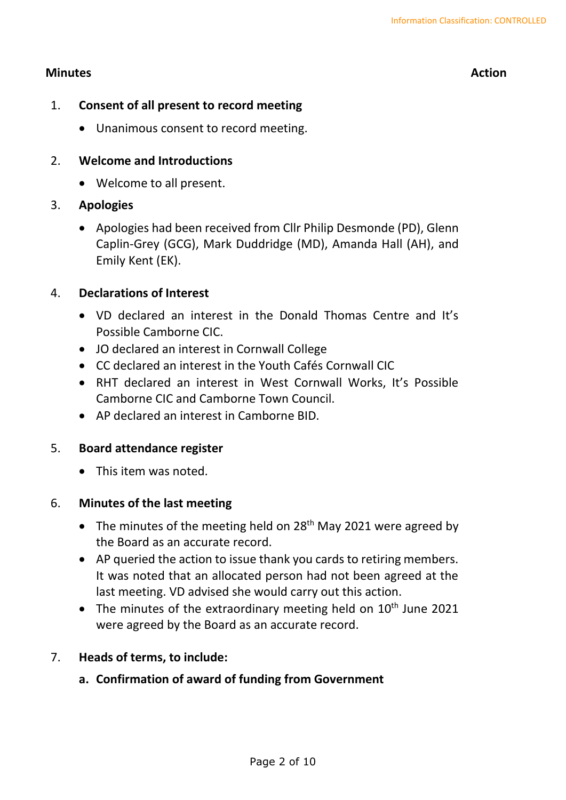# **Minutes Action**

- 1. **Consent of all present to record meeting**
	- Unanimous consent to record meeting.

#### 2. **Welcome and Introductions**

• Welcome to all present.

### 3. **Apologies**

• Apologies had been received from Cllr Philip Desmonde (PD), Glenn Caplin-Grey (GCG), Mark Duddridge (MD), Amanda Hall (AH), and Emily Kent (EK).

### 4. **Declarations of Interest**

- VD declared an interest in the Donald Thomas Centre and It's Possible Camborne CIC.
- JO declared an interest in Cornwall College
- CC declared an interest in the Youth Cafés Cornwall CIC
- RHT declared an interest in West Cornwall Works, It's Possible Camborne CIC and Camborne Town Council.
- AP declared an interest in Camborne BID.

#### 5. **Board attendance register**

• This item was noted.

#### 6. **Minutes of the last meeting**

- The minutes of the meeting held on 28<sup>th</sup> May 2021 were agreed by the Board as an accurate record.
- AP queried the action to issue thank you cards to retiring members. It was noted that an allocated person had not been agreed at the last meeting. VD advised she would carry out this action.
- The minutes of the extraordinary meeting held on  $10^{th}$  June 2021 were agreed by the Board as an accurate record.

# 7. **Heads of terms, to include:**

# **a. Confirmation of award of funding from Government**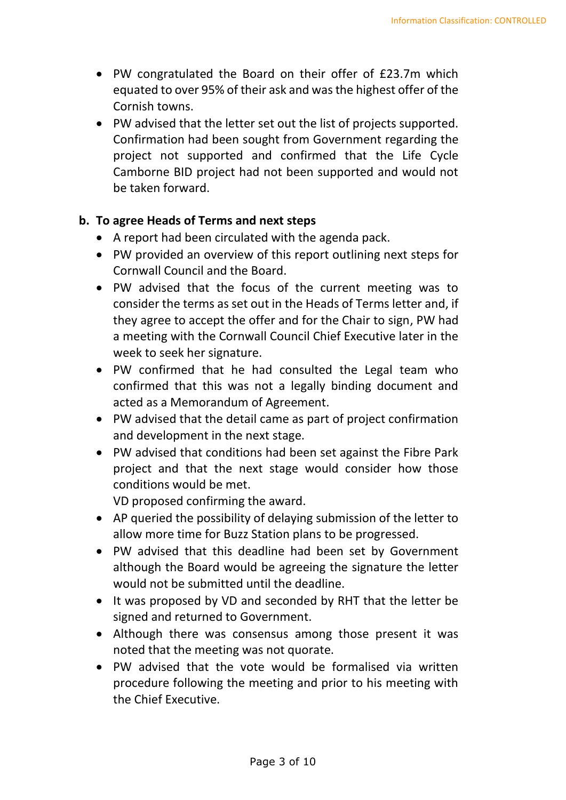- PW congratulated the Board on their offer of £23.7m which equated to over 95% of their ask and was the highest offer of the Cornish towns.
- PW advised that the letter set out the list of projects supported. Confirmation had been sought from Government regarding the project not supported and confirmed that the Life Cycle Camborne BID project had not been supported and would not be taken forward.

### **b. To agree Heads of Terms and next steps**

- A report had been circulated with the agenda pack.
- PW provided an overview of this report outlining next steps for Cornwall Council and the Board.
- PW advised that the focus of the current meeting was to consider the terms as set out in the Heads of Terms letter and, if they agree to accept the offer and for the Chair to sign, PW had a meeting with the Cornwall Council Chief Executive later in the week to seek her signature.
- PW confirmed that he had consulted the Legal team who confirmed that this was not a legally binding document and acted as a Memorandum of Agreement.
- PW advised that the detail came as part of project confirmation and development in the next stage.
- PW advised that conditions had been set against the Fibre Park project and that the next stage would consider how those conditions would be met.

VD proposed confirming the award.

- AP queried the possibility of delaying submission of the letter to allow more time for Buzz Station plans to be progressed.
- PW advised that this deadline had been set by Government although the Board would be agreeing the signature the letter would not be submitted until the deadline.
- It was proposed by VD and seconded by RHT that the letter be signed and returned to Government.
- Although there was consensus among those present it was noted that the meeting was not quorate.
- PW advised that the vote would be formalised via written procedure following the meeting and prior to his meeting with the Chief Executive.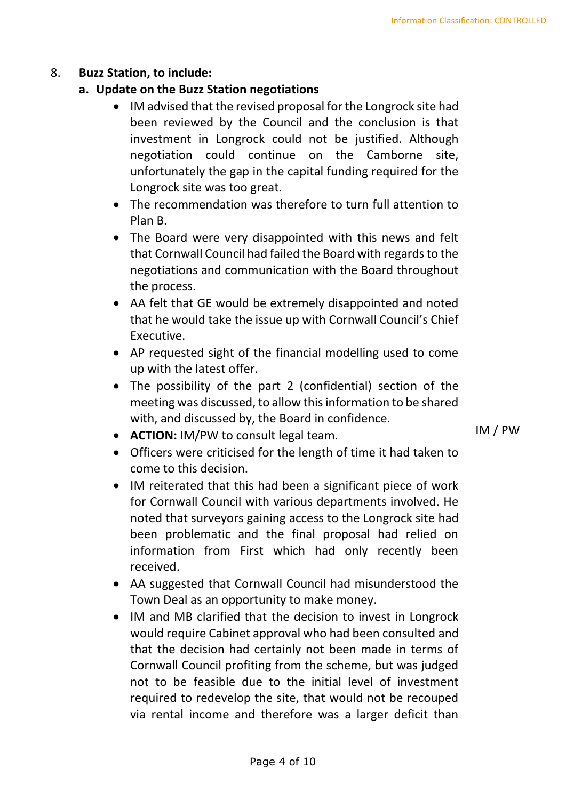### 8. **Buzz Station, to include:**

### **a. Update on the Buzz Station negotiations**

- IM advised that the revised proposal for the Longrock site had been reviewed by the Council and the conclusion is that investment in Longrock could not be justified. Although negotiation could continue on the Camborne site, unfortunately the gap in the capital funding required for the Longrock site was too great.
- The recommendation was therefore to turn full attention to Plan B.
- The Board were very disappointed with this news and felt that Cornwall Council had failed the Board with regards to the negotiations and communication with the Board throughout the process.
- AA felt that GE would be extremely disappointed and noted that he would take the issue up with Cornwall Council's Chief Executive.
- AP requested sight of the financial modelling used to come up with the latest offer.
- The possibility of the part 2 (confidential) section of the meeting was discussed, to allow this information to be shared with, and discussed by, the Board in confidence.
- **ACTION:** IM/PW to consult legal team.
- Officers were criticised for the length of time it had taken to come to this decision.
- IM reiterated that this had been a significant piece of work for Cornwall Council with various departments involved. He noted that surveyors gaining access to the Longrock site had been problematic and the final proposal had relied on information from First which had only recently been received.
- AA suggested that Cornwall Council had misunderstood the Town Deal as an opportunity to make money.
- IM and MB clarified that the decision to invest in Longrock would require Cabinet approval who had been consulted and that the decision had certainly not been made in terms of Cornwall Council profiting from the scheme, but was judged not to be feasible due to the initial level of investment required to redevelop the site, that would not be recouped via rental income and therefore was a larger deficit than

IM / PW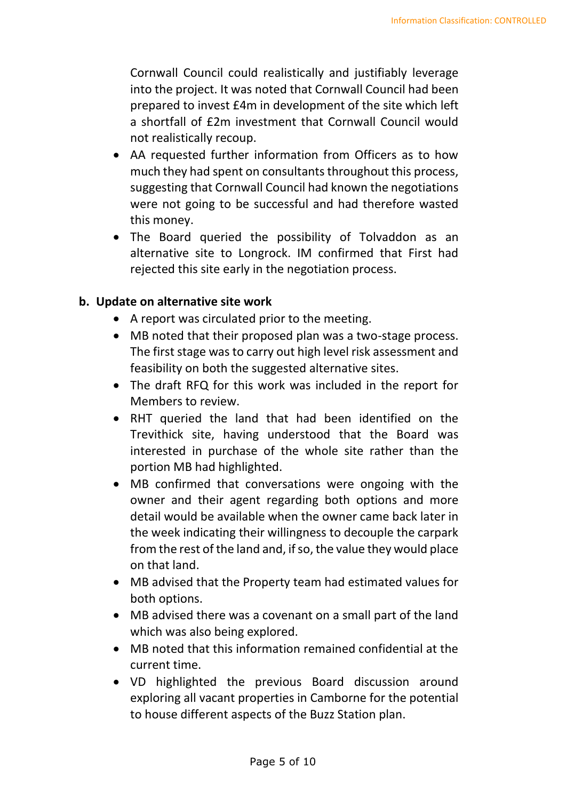Cornwall Council could realistically and justifiably leverage into the project. It was noted that Cornwall Council had been prepared to invest £4m in development of the site which left a shortfall of £2m investment that Cornwall Council would not realistically recoup.

- AA requested further information from Officers as to how much they had spent on consultants throughout this process, suggesting that Cornwall Council had known the negotiations were not going to be successful and had therefore wasted this money.
- The Board queried the possibility of Tolvaddon as an alternative site to Longrock. IM confirmed that First had rejected this site early in the negotiation process.

# **b. Update on alternative site work**

- A report was circulated prior to the meeting.
- MB noted that their proposed plan was a two-stage process. The first stage was to carry out high level risk assessment and feasibility on both the suggested alternative sites.
- The draft RFQ for this work was included in the report for Members to review.
- RHT queried the land that had been identified on the Trevithick site, having understood that the Board was interested in purchase of the whole site rather than the portion MB had highlighted.
- MB confirmed that conversations were ongoing with the owner and their agent regarding both options and more detail would be available when the owner came back later in the week indicating their willingness to decouple the carpark from the rest of the land and, if so, the value they would place on that land.
- MB advised that the Property team had estimated values for both options.
- MB advised there was a covenant on a small part of the land which was also being explored.
- MB noted that this information remained confidential at the current time.
- VD highlighted the previous Board discussion around exploring all vacant properties in Camborne for the potential to house different aspects of the Buzz Station plan.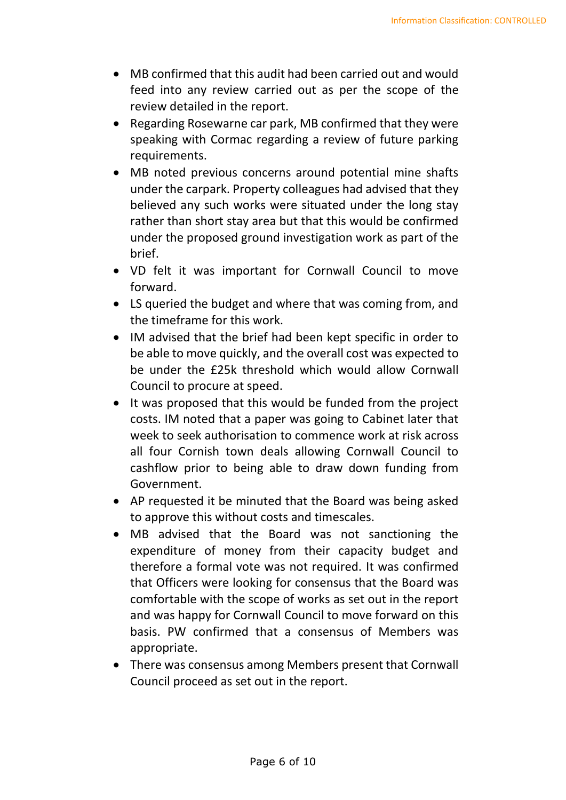- MB confirmed that this audit had been carried out and would feed into any review carried out as per the scope of the review detailed in the report.
- Regarding Rosewarne car park, MB confirmed that they were speaking with Cormac regarding a review of future parking requirements.
- MB noted previous concerns around potential mine shafts under the carpark. Property colleagues had advised that they believed any such works were situated under the long stay rather than short stay area but that this would be confirmed under the proposed ground investigation work as part of the brief.
- VD felt it was important for Cornwall Council to move forward.
- LS queried the budget and where that was coming from, and the timeframe for this work.
- IM advised that the brief had been kept specific in order to be able to move quickly, and the overall cost was expected to be under the £25k threshold which would allow Cornwall Council to procure at speed.
- It was proposed that this would be funded from the project costs. IM noted that a paper was going to Cabinet later that week to seek authorisation to commence work at risk across all four Cornish town deals allowing Cornwall Council to cashflow prior to being able to draw down funding from Government.
- AP requested it be minuted that the Board was being asked to approve this without costs and timescales.
- MB advised that the Board was not sanctioning the expenditure of money from their capacity budget and therefore a formal vote was not required. It was confirmed that Officers were looking for consensus that the Board was comfortable with the scope of works as set out in the report and was happy for Cornwall Council to move forward on this basis. PW confirmed that a consensus of Members was appropriate.
- There was consensus among Members present that Cornwall Council proceed as set out in the report.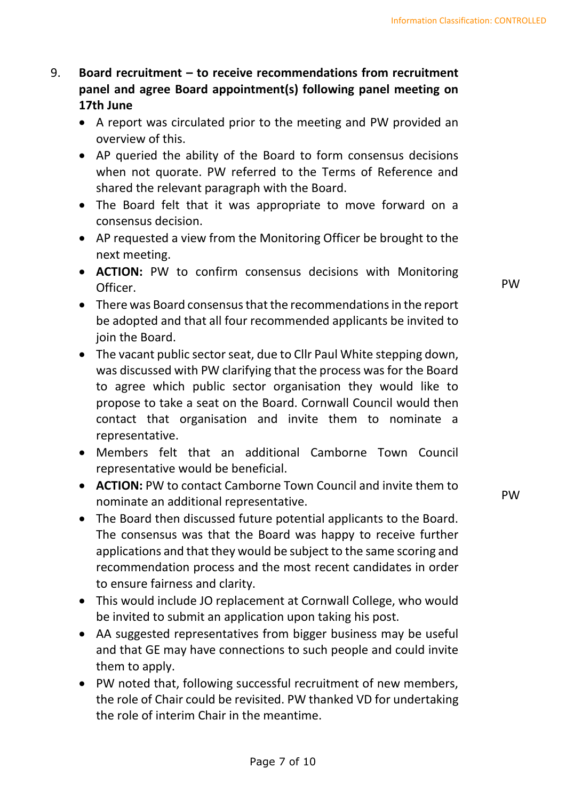# 9. **Board recruitment – to receive recommendations from recruitment panel and agree Board appointment(s) following panel meeting on 17th June**

- A report was circulated prior to the meeting and PW provided an overview of this.
- AP queried the ability of the Board to form consensus decisions when not quorate. PW referred to the Terms of Reference and shared the relevant paragraph with the Board.
- The Board felt that it was appropriate to move forward on a consensus decision.
- AP requested a view from the Monitoring Officer be brought to the next meeting.
- **ACTION:** PW to confirm consensus decisions with Monitoring Officer.
- There was Board consensus that the recommendations in the report be adopted and that all four recommended applicants be invited to join the Board.
- The vacant public sector seat, due to Cllr Paul White stepping down, was discussed with PW clarifying that the process was for the Board to agree which public sector organisation they would like to propose to take a seat on the Board. Cornwall Council would then contact that organisation and invite them to nominate a representative.
- Members felt that an additional Camborne Town Council representative would be beneficial.
- **ACTION:** PW to contact Camborne Town Council and invite them to nominate an additional representative.
- The Board then discussed future potential applicants to the Board. The consensus was that the Board was happy to receive further applications and that they would be subject to the same scoring and recommendation process and the most recent candidates in order to ensure fairness and clarity.
- This would include JO replacement at Cornwall College, who would be invited to submit an application upon taking his post.
- AA suggested representatives from bigger business may be useful and that GE may have connections to such people and could invite them to apply.
- PW noted that, following successful recruitment of new members, the role of Chair could be revisited. PW thanked VD for undertaking the role of interim Chair in the meantime.

PW

PW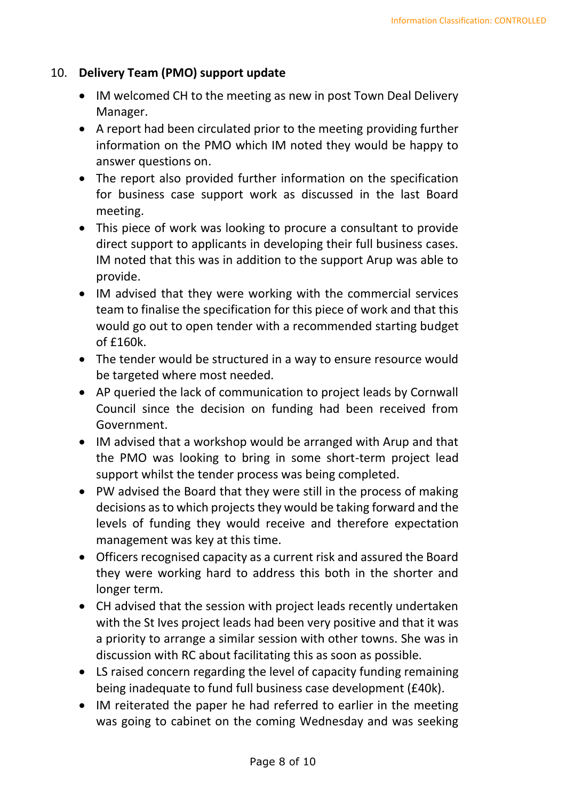### 10. **Delivery Team (PMO) support update**

- IM welcomed CH to the meeting as new in post Town Deal Delivery Manager.
- A report had been circulated prior to the meeting providing further information on the PMO which IM noted they would be happy to answer questions on.
- The report also provided further information on the specification for business case support work as discussed in the last Board meeting.
- This piece of work was looking to procure a consultant to provide direct support to applicants in developing their full business cases. IM noted that this was in addition to the support Arup was able to provide.
- IM advised that they were working with the commercial services team to finalise the specification for this piece of work and that this would go out to open tender with a recommended starting budget of £160k.
- The tender would be structured in a way to ensure resource would be targeted where most needed.
- AP queried the lack of communication to project leads by Cornwall Council since the decision on funding had been received from Government.
- IM advised that a workshop would be arranged with Arup and that the PMO was looking to bring in some short-term project lead support whilst the tender process was being completed.
- PW advised the Board that they were still in the process of making decisions as to which projects they would be taking forward and the levels of funding they would receive and therefore expectation management was key at this time.
- Officers recognised capacity as a current risk and assured the Board they were working hard to address this both in the shorter and longer term.
- CH advised that the session with project leads recently undertaken with the St Ives project leads had been very positive and that it was a priority to arrange a similar session with other towns. She was in discussion with RC about facilitating this as soon as possible.
- LS raised concern regarding the level of capacity funding remaining being inadequate to fund full business case development (£40k).
- IM reiterated the paper he had referred to earlier in the meeting was going to cabinet on the coming Wednesday and was seeking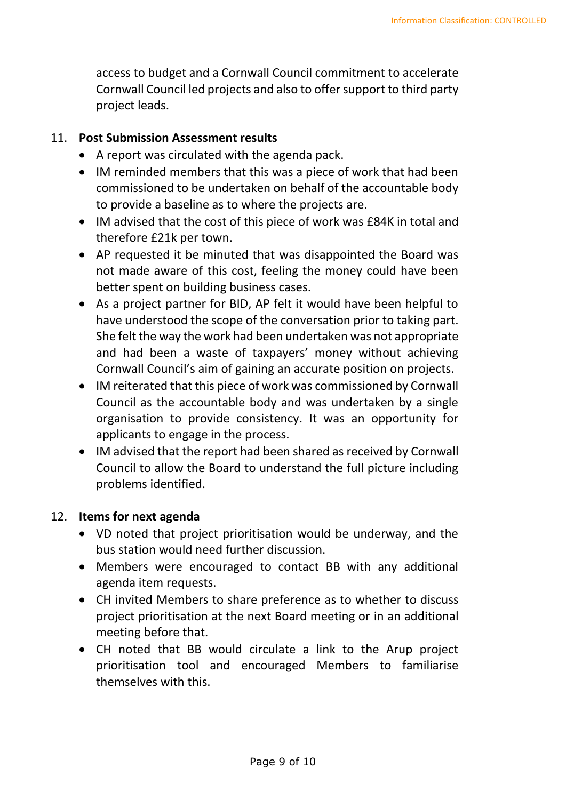access to budget and a Cornwall Council commitment to accelerate Cornwall Council led projects and also to offer support to third party project leads.

#### 11. **Post Submission Assessment results**

- A report was circulated with the agenda pack.
- IM reminded members that this was a piece of work that had been commissioned to be undertaken on behalf of the accountable body to provide a baseline as to where the projects are.
- IM advised that the cost of this piece of work was £84K in total and therefore £21k per town.
- AP requested it be minuted that was disappointed the Board was not made aware of this cost, feeling the money could have been better spent on building business cases.
- As a project partner for BID, AP felt it would have been helpful to have understood the scope of the conversation prior to taking part. She felt the way the work had been undertaken was not appropriate and had been a waste of taxpayers' money without achieving Cornwall Council's aim of gaining an accurate position on projects.
- IM reiterated that this piece of work was commissioned by Cornwall Council as the accountable body and was undertaken by a single organisation to provide consistency. It was an opportunity for applicants to engage in the process.
- IM advised that the report had been shared as received by Cornwall Council to allow the Board to understand the full picture including problems identified.

# 12. **Items for next agenda**

- VD noted that project prioritisation would be underway, and the bus station would need further discussion.
- Members were encouraged to contact BB with any additional agenda item requests.
- CH invited Members to share preference as to whether to discuss project prioritisation at the next Board meeting or in an additional meeting before that.
- CH noted that BB would circulate a link to the Arup project prioritisation tool and encouraged Members to familiarise themselves with this.